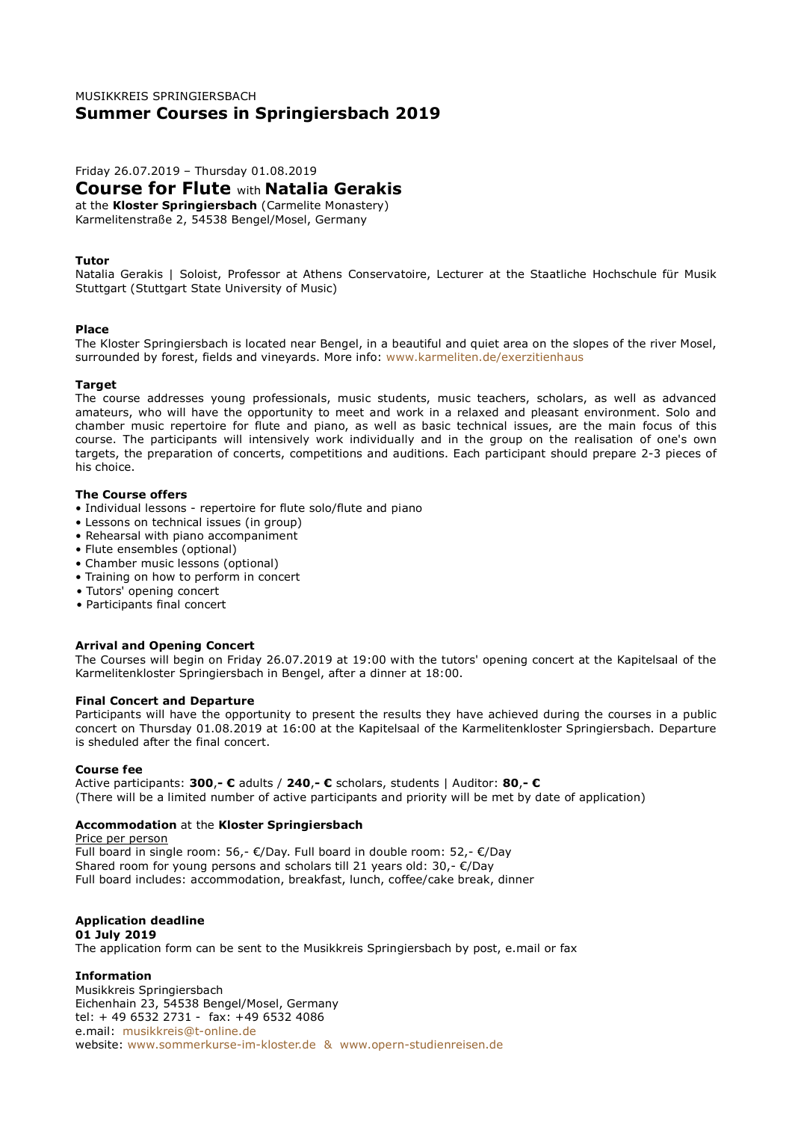# MUSIKKREIS SPRINGIERSBACH **Summer Courses in Springiersbach 2019**

Friday 26.07.2019 – Thursday 01.08.2019

# **Course for Flute** with **Natalia Gerakis**

at the **Kloster Springiersbach** (Carmelite Monastery) Karmelitenstraße 2, 54538 Bengel/Mosel, Germany

# **Tutor**

Natalia Gerakis | Soloist, Professor at Athens Conservatoire, Lecturer at the Staatliche Hochschule für Musik Stuttgart (Stuttgart State University of Music)

#### **Place**

The Kloster Springiersbach is located near Bengel, in a beautiful and quiet area on the slopes of the river Mosel, surrounded by forest, fields and vineyards. More info: www.karmeliten.de/exerzitienhaus

#### **Target**

The course addresses young professionals, music students, music teachers, scholars, as well as advanced amateurs, who will have the opportunity to meet and work in a relaxed and pleasant environment. Solo and chamber music repertoire for flute and piano, as well as basic technical issues, are the main focus of this course. The participants will intensively work individually and in the group on the realisation of one's own targets, the preparation of concerts, competitions and auditions. Each participant should prepare 2-3 pieces of his choice.

## **The Course offers**

- Individual lessons repertoire for flute solo/flute and piano
- Lessons on technical issues (in group)
- Rehearsal with piano accompaniment
- Flute ensembles (optional)
- Chamber music lessons (optional)
- Training on how to perform in concert
- Tutors' opening concert
- Participants final concert

# **Arrival and Opening Concert**

The Courses will begin on Friday 26.07.2019 at 19:00 with the tutors' opening concert at the Kapitelsaal of the Karmelitenkloster Springiersbach in Bengel, after a dinner at 18:00.

#### **Final Concert and Departure**

Participants will have the opportunity to present the results they have achieved during the courses in a public concert on Thursday 01.08.2019 at 16:00 at the Kapitelsaal of the Karmelitenkloster Springiersbach. Departure is sheduled after the final concert.

#### **Course fee**

Active participants: **300**,**- €** adults / **240**,**- €** scholars, students | Auditor: **80**,**- €** (There will be a limited number of active participants and priority will be met by date of application)

# **Accommodation** at the **Kloster Springiersbach**

#### Price per person

Full board in single room: 56,- €/Day. Full board in double room: 52,- €/Day Shared room for young persons and scholars till 21 years old: 30,- €/Day Full board includes: accommodation, breakfast, lunch, coffee/cake break, dinner

#### **Application deadline 01 July 2019**

The application form can be sent to the Musikkreis Springiersbach by post, e.mail or fax

# **Information**

Musikkreis Springiersbach Eichenhain 23, 54538 Bengel/Mosel, Germany tel: + 49 6532 2731 - fax: +49 6532 4086 e.mail: musikkreis@t-online.de website: www.sommerkurse-im-kloster.de & www.opern-studienreisen.de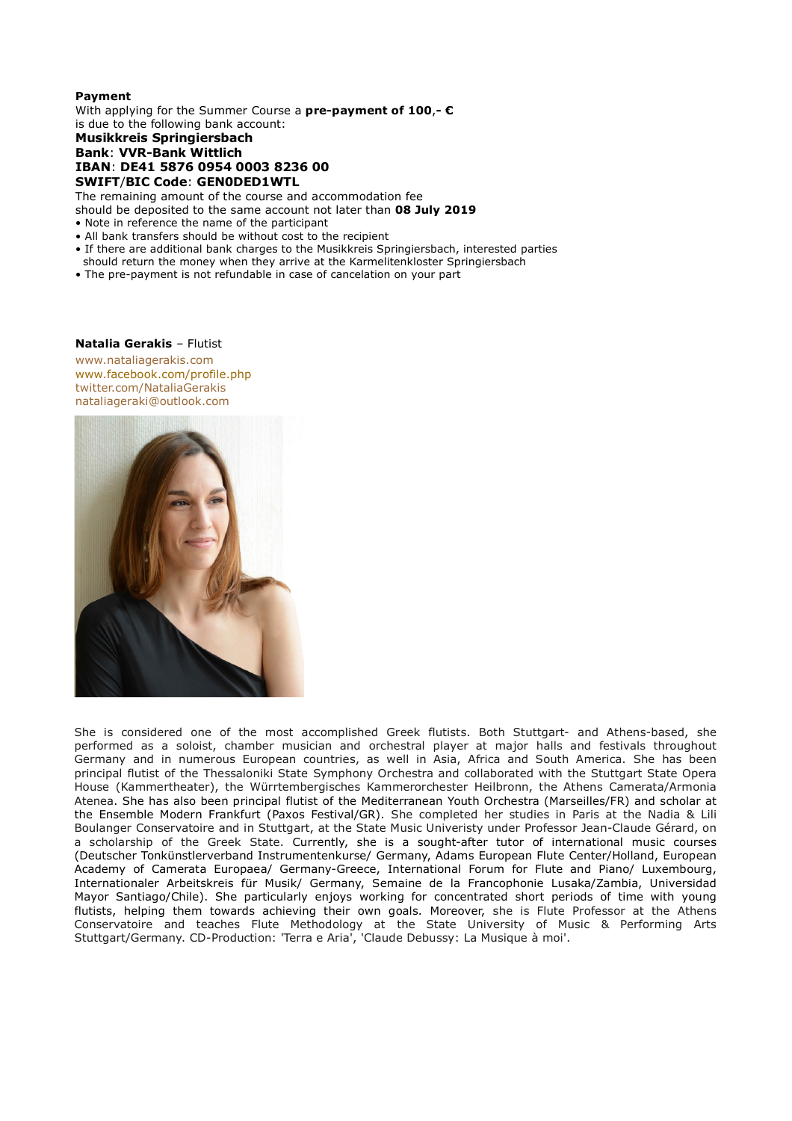# **Payment**

With applying for the Summer Course a **pre-payment of 100**,**- €** is due to the following bank account:

# **Musikkreis Springiersbach Bank**: **VVR-Bank Wittlich IBAN**: **DE41 5876 0954 0003 8236 00 SWIFT**/**BIC Code**: **GEN0DED1WTL**

The remaining amount of the course and accommodation fee should be deposited to the same account not later than **08 July 2019**

- Note in reference the name of the participant
- All bank transfers should be without cost to the recipient
- If there are additional bank charges to the Musikkreis Springiersbach, interested parties
- should return the money when they arrive at the Karmelitenkloster Springiersbach
- The pre-payment is not refundable in case of cancelation on your part

### **Natalia Gerakis** – Flutist

www.nataliagerakis.com www.facebook.com/profile.php twitter.com/NataliaGerakis nataliageraki@outlook.com



She is considered one of the most accomplished Greek flutists. Both Stuttgart- and Athens-based, she performed as a soloist, chamber musician and orchestral player at major halls and festivals throughout Germany and in numerous European countries, as well in Asia, Africa and South America. She has been principal flutist of the Thessaloniki State Symphony Orchestra and collaborated with the Stuttgart State Opera House (Kammertheater), the Würrtembergisches Kammerorchester Heilbronn, the Athens Camerata/Armonia Atenea. She has also been principal flutist of the Mediterranean Youth Orchestra (Marseilles/FR) and scholar at the Ensemble Modern Frankfurt (Paxos Festival/GR). She completed her studies in Paris at the Nadia & Lili Boulanger Conservatoire and in Stuttgart, at the State Music Univeristy under Professor Jean-Claude Gérard, on a scholarship of the Greek State. Currently, she is a sought-after tutor of international music courses (Deutscher Tonkünstlerverband Instrumentenkurse/ Germany, Adams European Flute Center/Holland, European Academy of Camerata Europaea/ Germany-Greece, International Forum for Flute and Piano/ Luxembourg, Internationaler Arbeitskreis für Musik/ Germany, Semaine de la Francophonie Lusaka/Zambia, Universidad Mayor Santiago/Chile). She particularly enjoys working for concentrated short periods of time with young flutists, helping them towards achieving their own goals. Moreover, she is Flute Professor at the Athens Conservatoire and teaches Flute Methodology at the State University of Music & Performing Arts Stuttgart/Germany. CD-Production: 'Terra e Aria', 'Claude Debussy: La Musique à moi'.